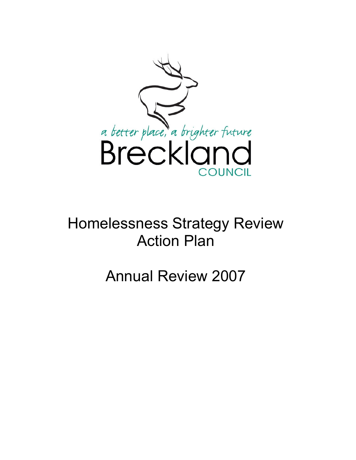

# Homelessness Strategy Review Action Plan

Annual Review 2007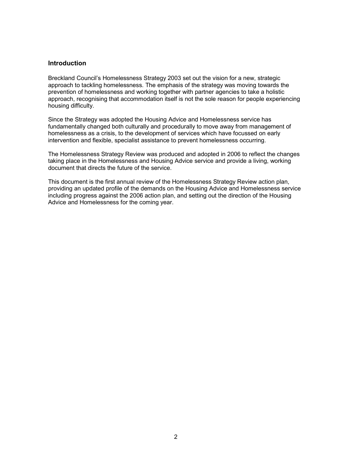#### **Introduction**

Breckland Council's Homelessness Strategy 2003 set out the vision for a new, strategic approach to tackling homelessness. The emphasis of the strategy was moving towards the prevention of homelessness and working together with partner agencies to take a holistic approach, recognising that accommodation itself is not the sole reason for people experiencing housing difficulty.

Since the Strategy was adopted the Housing Advice and Homelessness service has fundamentally changed both culturally and procedurally to move away from management of homelessness as a crisis, to the development of services which have focussed on early intervention and flexible, specialist assistance to prevent homelessness occurring.

The Homelessness Strategy Review was produced and adopted in 2006 to reflect the changes taking place in the Homelessness and Housing Advice service and provide a living, working document that directs the future of the service.

This document is the first annual review of the Homelessness Strategy Review action plan, providing an updated profile of the demands on the Housing Advice and Homelessness service including progress against the 2006 action plan, and setting out the direction of the Housing Advice and Homelessness for the coming year.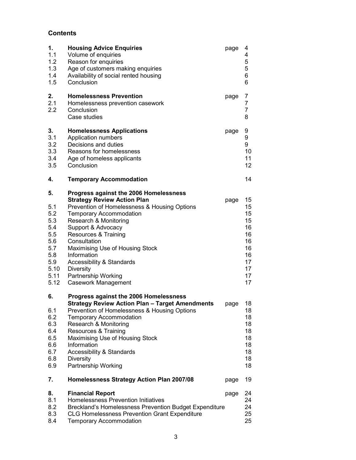# **Contents**

| 1.<br>1.1<br>1.2<br>1.3<br>1.4<br>1.5                                                     | <b>Housing Advice Enquiries</b><br>Volume of enquiries<br>Reason for enquiries<br>Age of customers making enquiries<br>Availability of social rented housing<br>Conclusion                                                                                                                                                                                                                                        | page | 4<br>4<br>5<br>5<br>6<br>6                                                 |
|-------------------------------------------------------------------------------------------|-------------------------------------------------------------------------------------------------------------------------------------------------------------------------------------------------------------------------------------------------------------------------------------------------------------------------------------------------------------------------------------------------------------------|------|----------------------------------------------------------------------------|
| 2.<br>2.1<br>2.2                                                                          | <b>Homelessness Prevention</b><br>Homelessness prevention casework<br>Conclusion<br>Case studies                                                                                                                                                                                                                                                                                                                  | page | 7<br>7<br>$\overline{7}$<br>8                                              |
| 3.<br>3.1<br>3.2<br>3.3<br>3.4<br>3.5                                                     | <b>Homelessness Applications</b><br>Application numbers<br>Decisions and duties<br>Reasons for homelessness<br>Age of homeless applicants<br>Conclusion                                                                                                                                                                                                                                                           | page | 9<br>9<br>9<br>10<br>11<br>12 <sub>2</sub>                                 |
| 4.                                                                                        | <b>Temporary Accommodation</b>                                                                                                                                                                                                                                                                                                                                                                                    |      | 14                                                                         |
| 5.<br>5.1<br>5.2<br>5.3<br>5.4<br>5.5<br>5.6<br>5.7<br>5.8<br>5.9<br>5.10<br>5.11<br>5.12 | Progress against the 2006 Homelessness<br><b>Strategy Review Action Plan</b><br>Prevention of Homelessness & Housing Options<br><b>Temporary Accommodation</b><br>Research & Monitoring<br>Support & Advocacy<br>Resources & Training<br>Consultation<br>Maximising Use of Housing Stock<br>Information<br><b>Accessibility &amp; Standards</b><br><b>Diversity</b><br>Partnership Working<br>Casework Management | page | 15<br>15<br>15<br>15<br>16<br>16<br>16<br>16<br>16<br>17<br>17<br>17<br>17 |
| 6.<br>6.1<br>6.2<br>6.3<br>6.4<br>6.5<br>6.6<br>6.7<br>6.8<br>6.9                         | Progress against the 2006 Homelessness<br>Strategy Review Action Plan - Target Amendments<br>Prevention of Homelessness & Housing Options<br><b>Temporary Accommodation</b><br>Research & Monitoring<br>Resources & Training<br>Maximising Use of Housing Stock<br>Information<br><b>Accessibility &amp; Standards</b><br><b>Diversity</b><br>Partnership Working                                                 | page | 18<br>18<br>18<br>18<br>18<br>18<br>18<br>18<br>18<br>18                   |
| 7.                                                                                        | Homelessness Strategy Action Plan 2007/08                                                                                                                                                                                                                                                                                                                                                                         | page | 19                                                                         |
| 8.<br>8.1<br>8.2<br>8.3<br>8.4                                                            | <b>Financial Report</b><br>Homelessness Prevention Initiatives<br>Breckland's Homelessness Prevention Budget Expenditure<br><b>CLG Homelessness Prevention Grant Expenditure</b><br><b>Temporary Accommodation</b>                                                                                                                                                                                                | page | 24<br>24<br>24<br>25<br>25                                                 |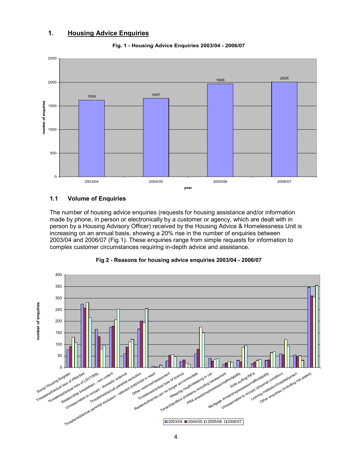# 1. Housing Advice Enquiries





#### 1.1 Volume of Enquiries

The number of housing advice enquiries (requests for housing assistance and/or information made by phone, in person or electronically by a customer or agency, which are dealt with in person by a Housing Advisory Officer) received by the Housing Advice & Homelessness Unit is increasing on an annual basis, showing a 20% rise in the number of enquiries between 2003/04 and 2006/07 (Fig.1). These enquiries range from simple requests for information to complex customer circumstances requiring in-depth advice and assistance.



#### Fig 2 - Reasons for housing advice enquiries 2003/04 - 2006/07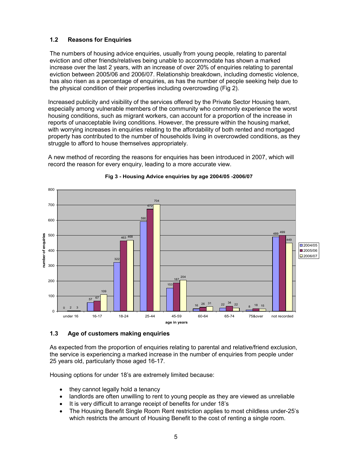# 1.2 Reasons for Enquiries

The numbers of housing advice enquiries, usually from young people, relating to parental eviction and other friends/relatives being unable to accommodate has shown a marked increase over the last 2 years, with an increase of over 20% of enquiries relating to parental eviction between 2005/06 and 2006/07. Relationship breakdown, including domestic violence, has also risen as a percentage of enquiries, as has the number of people seeking help due to the physical condition of their properties including overcrowding (Fig 2).

Increased publicity and visibility of the services offered by the Private Sector Housing team, especially among vulnerable members of the community who commonly experience the worst housing conditions, such as migrant workers, can account for a proportion of the increase in reports of unacceptable living conditions. However, the pressure within the housing market, with worrying increases in enquiries relating to the affordability of both rented and mortgaged property has contributed to the number of households living in overcrowded conditions, as they struggle to afford to house themselves appropriately.

A new method of recording the reasons for enquiries has been introduced in 2007, which will record the reason for every enquiry, leading to a more accurate view.



# Fig 3 - Housing Advice enquiries by age 2004/05 -2006/07

#### 1.3 Age of customers making enquiries

As expected from the proportion of enquiries relating to parental and relative/friend exclusion, the service is experiencing a marked increase in the number of enquiries from people under 25 years old, particularly those aged 16-17.

Housing options for under 18's are extremely limited because:

- they cannot legally hold a tenancy
- landlords are often unwilling to rent to young people as they are viewed as unreliable
- It is very difficult to arrange receipt of benefits for under 18's
- The Housing Benefit Single Room Rent restriction applies to most childless under-25's which restricts the amount of Housing Benefit to the cost of renting a single room.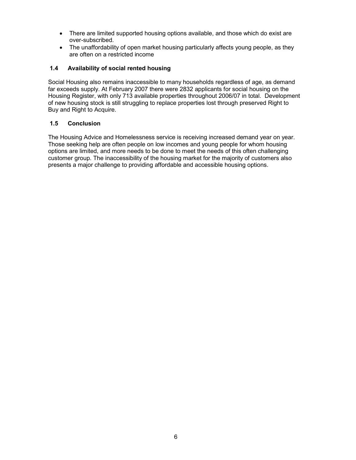- There are limited supported housing options available, and those which do exist are over-subscribed.
- The unaffordability of open market housing particularly affects young people, as they are often on a restricted income

# 1.4 Availability of social rented housing

Social Housing also remains inaccessible to many households regardless of age, as demand far exceeds supply. At February 2007 there were 2832 applicants for social housing on the Housing Register, with only 713 available properties throughout 2006/07 in total. Development of new housing stock is still struggling to replace properties lost through preserved Right to Buy and Right to Acquire.

# 1.5 Conclusion

The Housing Advice and Homelessness service is receiving increased demand year on year. Those seeking help are often people on low incomes and young people for whom housing options are limited, and more needs to be done to meet the needs of this often challenging customer group. The inaccessibility of the housing market for the majority of customers also presents a major challenge to providing affordable and accessible housing options.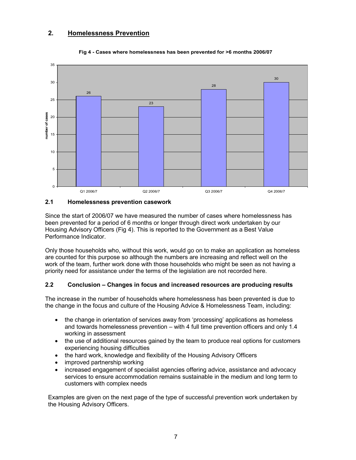# 2. Homelessness Prevention



#### Fig 4 - Cases where homelessness has been prevented for >6 months 2006/07

#### 2.1 Homelessness prevention casework

Since the start of 2006/07 we have measured the number of cases where homelessness has been prevented for a period of 6 months or longer through direct work undertaken by our Housing Advisory Officers (Fig 4). This is reported to the Government as a Best Value Performance Indicator.

Only those households who, without this work, would go on to make an application as homeless are counted for this purpose so although the numbers are increasing and reflect well on the work of the team, further work done with those households who might be seen as not having a priority need for assistance under the terms of the legislation are not recorded here.

# 2.2 Conclusion – Changes in focus and increased resources are producing results

The increase in the number of households where homelessness has been prevented is due to the change in the focus and culture of the Housing Advice & Homelessness Team, including:

- the change in orientation of services away from 'processing' applications as homeless and towards homelessness prevention – with 4 full time prevention officers and only 1.4 working in assessment
- the use of additional resources gained by the team to produce real options for customers experiencing housing difficulties
- the hard work, knowledge and flexibility of the Housing Advisory Officers
- improved partnership working
- increased engagement of specialist agencies offering advice, assistance and advocacy services to ensure accommodation remains sustainable in the medium and long term to customers with complex needs

Examples are given on the next page of the type of successful prevention work undertaken by the Housing Advisory Officers.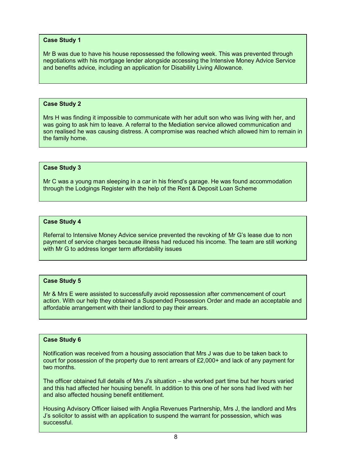#### Case Study 1

Mr B was due to have his house repossessed the following week. This was prevented through negotiations with his mortgage lender alongside accessing the Intensive Money Advice Service and benefits advice, including an application for Disability Living Allowance.

#### Case Study 2

Mrs H was finding it impossible to communicate with her adult son who was living with her, and was going to ask him to leave. A referral to the Mediation service allowed communication and son realised he was causing distress. A compromise was reached which allowed him to remain in the family home.

#### Case Study 3

Mr C was a young man sleeping in a car in his friend's garage. He was found accommodation through the Lodgings Register with the help of the Rent & Deposit Loan Scheme

#### Case Study 4

Referral to Intensive Money Advice service prevented the revoking of Mr G's lease due to non payment of service charges because illness had reduced his income. The team are still working with Mr G to address longer term affordability issues

#### Case Study 5

Mr & Mrs E were assisted to successfully avoid repossession after commencement of court action. With our help they obtained a Suspended Possession Order and made an acceptable and affordable arrangement with their landlord to pay their arrears.

#### Case Study 6

Notification was received from a housing association that Mrs J was due to be taken back to court for possession of the property due to rent arrears of £2,000+ and lack of any payment for two months.

The officer obtained full details of Mrs J's situation – she worked part time but her hours varied and this had affected her housing benefit. In addition to this one of her sons had lived with her and also affected housing benefit entitlement.

Housing Advisory Officer liaised with Anglia Revenues Partnership, Mrs J, the landlord and Mrs J's solicitor to assist with an application to suspend the warrant for possession, which was successful.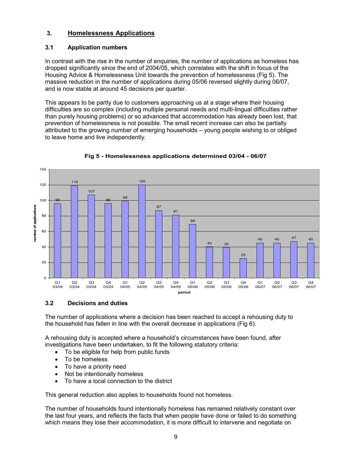# 3. Homelessness Applications

# 3.1 Application numbers

In contrast with the rise in the number of enquiries, the number of applications as homeless has dropped significantly since the end of 2004/05, which correlates with the shift in focus of the Housing Advice & Homelessness Unit towards the prevention of homelessness (Fig 5). The massive reduction in the number of applications during 05/06 reversed slightly during 06/07, and is now stable at around 45 decisions per quarter.

This appears to be partly due to customers approaching us at a stage where their housing difficulties are so complex (including multiple personal needs and multi-lingual difficulties rather than purely housing problems) or so advanced that accommodation has already been lost, that prevention of homelessness is not possible. The small recent increase can also be partially attributed to the growing number of emerging households – young people wishing to or obliged to leave home and live independently.



Fig 5 - Homelessness applications determined 03/04 - 06/07

# 3.2 Decisions and duties

The number of applications where a decision has been reached to accept a rehousing duty to the household has fallen in line with the overall decrease in applications (Fig 6).

A rehousing duty is accepted where a household's circumstances have been found, after investigations have been undertaken, to fit the following statutory criteria:

- To be eligible for help from public funds
- To be homeless
- To have a priority need
- Not be intentionally homeless
- To have a local connection to the district

This general reduction also applies to households found not homeless.

The number of households found intentionally homeless has remained relatively constant over the last four years, and reflects the facts that when people have done or failed to do something which means they lose their accommodation, it is more difficult to intervene and negotiate on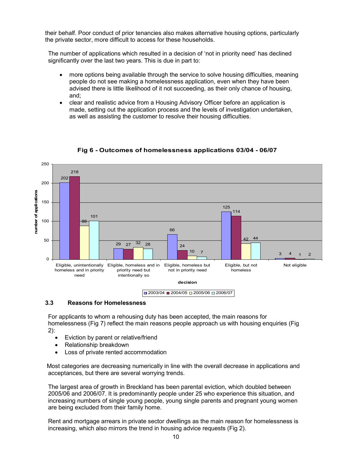their behalf. Poor conduct of prior tenancies also makes alternative housing options, particularly the private sector, more difficult to access for these households.

The number of applications which resulted in a decision of 'not in priority need' has declined significantly over the last two years. This is due in part to:

- more options being available through the service to solve housing difficulties, meaning people do not see making a homelessness application, even when they have been advised there is little likelihood of it not succeeding, as their only chance of housing, and;
- clear and realistic advice from a Housing Advisory Officer before an application is made, setting out the application process and the levels of investigation undertaken, as well as assisting the customer to resolve their housing difficulties.



Fig 6 - Outcomes of homelessness applications 03/04 - 06/07

#### 3.3 Reasons for Homelessness

For applicants to whom a rehousing duty has been accepted, the main reasons for homelessness (Fig 7) reflect the main reasons people approach us with housing enquiries (Fig

- 2):
	- Eviction by parent or relative/friend
	- Relationship breakdown
	- Loss of private rented accommodation

 Most categories are decreasing numerically in line with the overall decrease in applications and acceptances, but there are several worrying trends.

The largest area of growth in Breckland has been parental eviction, which doubled between 2005/06 and 2006/07. It is predominantly people under 25 who experience this situation, and increasing numbers of single young people, young single parents and pregnant young women are being excluded from their family home.

Rent and mortgage arrears in private sector dwellings as the main reason for homelessness is increasing, which also mirrors the trend in housing advice requests (Fig 2).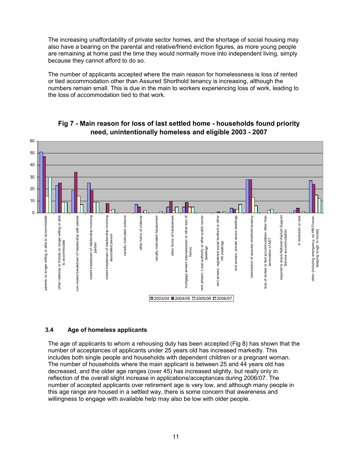The increasing unaffordability of private sector homes, and the shortage of social housing may also have a bearing on the parental and relative/friend eviction figures, as more young people are remaining at home past the time they would normally move into independent living, simply because they cannot afford to do so.

The number of applicants accepted where the main reason for homelessness is loss of rented or tied accommodation other than Assured Shorthold tenancy is increasing, although the numbers remain small. This is due in the main to workers experiencing loss of work, leading to the loss of accommodation tied to that work.



Fig 7 - Main reason for loss of last settled home - households found priority need, unintentionally homeless and eligible 2003 - 2007

# 3.4 Age of homeless applicants

The age of applicants to whom a rehousing duty has been accepted (Fig 8) has shown that the number of acceptances of applicants under 25 years old has increased markedly. This includes both single people and households with dependent children or a pregnant woman. The number of households where the main applicant is between 25 and 44 years old has decreased, and the older age ranges (over 45) has increased slightly, but really only in reflection of the overall slight increase in applications/acceptances during 2006/07. The number of accepted applicants over retirement age is very low, and although many people in this age range are housed in a settled way, there is some concern that awareness and willingness to engage with available help may also be low with older people.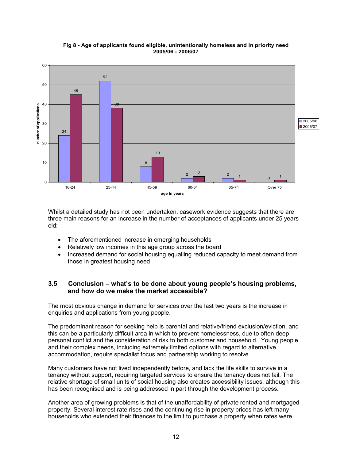

#### Fig 8 - Age of applicants found eligible, unintentionally homeless and in priority need 2005/06 - 2006/07

Whilst a detailed study has not been undertaken, casework evidence suggests that there are three main reasons for an increase in the number of acceptances of applicants under 25 years old:

- The aforementioned increase in emerging households
- Relatively low incomes in this age group across the board
- Increased demand for social housing equalling reduced capacity to meet demand from those in greatest housing need

# 3.5 Conclusion – what's to be done about young people's housing problems, and how do we make the market accessible?

The most obvious change in demand for services over the last two years is the increase in enquiries and applications from young people.

The predominant reason for seeking help is parental and relative/friend exclusion/eviction, and this can be a particularly difficult area in which to prevent homelessness, due to often deep personal conflict and the consideration of risk to both customer and household. Young people and their complex needs, including extremely limited options with regard to alternative accommodation, require specialist focus and partnership working to resolve.

Many customers have not lived independently before, and lack the life skills to survive in a tenancy without support, requiring targeted services to ensure the tenancy does not fail. The relative shortage of small units of social housing also creates accessibility issues, although this has been recognised and is being addressed in part through the development process.

Another area of growing problems is that of the unaffordability of private rented and mortgaged property. Several interest rate rises and the continuing rise in property prices has left many households who extended their finances to the limit to purchase a property when rates were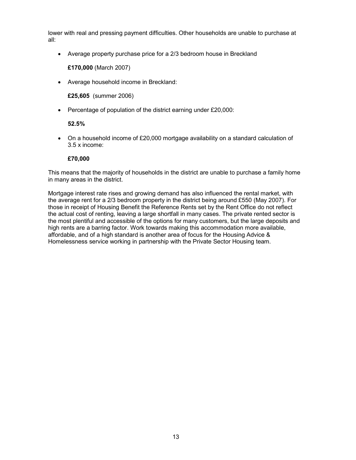lower with real and pressing payment difficulties. Other households are unable to purchase at all:

• Average property purchase price for a 2/3 bedroom house in Breckland

£170,000 (March 2007)

• Average household income in Breckland:

£25,605 (summer 2006)

• Percentage of population of the district earning under £20,000:

#### 52.5%

• On a household income of £20,000 mortgage availability on a standard calculation of 3.5 x income:

#### £70,000

This means that the majority of households in the district are unable to purchase a family home in many areas in the district.

Mortgage interest rate rises and growing demand has also influenced the rental market, with the average rent for a 2/3 bedroom property in the district being around £550 (May 2007). For those in receipt of Housing Benefit the Reference Rents set by the Rent Office do not reflect the actual cost of renting, leaving a large shortfall in many cases. The private rented sector is the most plentiful and accessible of the options for many customers, but the large deposits and high rents are a barring factor. Work towards making this accommodation more available, affordable, and of a high standard is another area of focus for the Housing Advice & Homelessness service working in partnership with the Private Sector Housing team.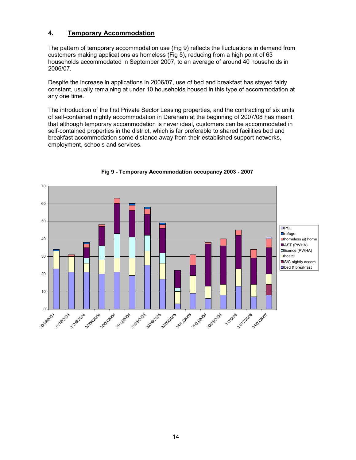# 4. Temporary Accommodation

The pattern of temporary accommodation use (Fig 9) reflects the fluctuations in demand from customers making applications as homeless (Fig 5), reducing from a high point of 63 households accommodated in September 2007, to an average of around 40 households in 2006/07.

Despite the increase in applications in 2006/07, use of bed and breakfast has stayed fairly constant, usually remaining at under 10 households housed in this type of accommodation at any one time.

The introduction of the first Private Sector Leasing properties, and the contracting of six units of self-contained nightly accommodation in Dereham at the beginning of 2007/08 has meant that although temporary accommodation is never ideal, customers can be accommodated in self-contained properties in the district, which is far preferable to shared facilities bed and breakfast accommodation some distance away from their established support networks, employment, schools and services.



#### Fig 9 - Temporary Accommodation occupancy 2003 - 2007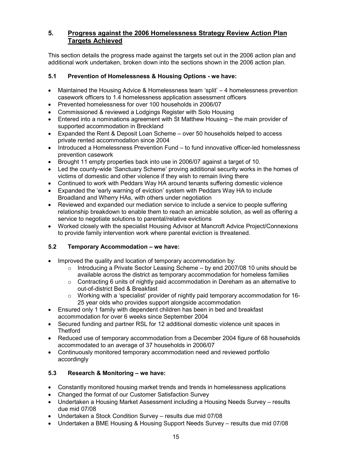# 5. Progress against the 2006 Homelessness Strategy Review Action Plan Targets Achieved

This section details the progress made against the targets set out in the 2006 action plan and additional work undertaken, broken down into the sections shown in the 2006 action plan.

# 5.1 Prevention of Homelessness & Housing Options - we have:

- Maintained the Housing Advice & Homelessness team 'split' 4 homelessness prevention casework officers to 1.4 homelessness application assessment officers
- Prevented homelessness for over 100 households in 2006/07
- Commissioned & reviewed a Lodgings Register with Solo Housing
- Entered into a nominations agreement with St Matthew Housing the main provider of supported accommodation in Breckland
- Expanded the Rent & Deposit Loan Scheme over 50 households helped to access private rented accommodation since 2004
- Introduced a Homelessness Prevention Fund to fund innovative officer-led homelessness prevention casework
- Brought 11 empty properties back into use in 2006/07 against a target of 10.
- Led the county-wide 'Sanctuary Scheme' proving additional security works in the homes of victims of domestic and other violence if they wish to remain living there
- Continued to work with Peddars Way HA around tenants suffering domestic violence
- Expanded the 'early warning of eviction' system with Peddars Way HA to include Broadland and Wherry HAs, with others under negotiation
- Reviewed and expanded our mediation service to include a service to people suffering relationship breakdown to enable them to reach an amicable solution, as well as offering a service to negotiate solutions to parental/relative evictions
- Worked closely with the specialist Housing Advisor at Mancroft Advice Project/Connexions to provide family intervention work where parental eviction is threatened.

# 5.2 Temporary Accommodation – we have:

- Improved the quality and location of temporary accommodation by:
	- $\circ$  Introducing a Private Sector Leasing Scheme by end 2007/08 10 units should be available across the district as temporary accommodation for homeless families
	- $\circ$  Contracting 6 units of nightly paid accommodation in Dereham as an alternative to out-of-district Bed & Breakfast
	- $\circ$  Working with a 'specialist' provider of nightly paid temporary accommodation for 16-25 year olds who provides support alongside accommodation
- Ensured only 1 family with dependent children has been in bed and breakfast accommodation for over 6 weeks since September 2004
- Secured funding and partner RSL for 12 additional domestic violence unit spaces in **Thetford**
- Reduced use of temporary accommodation from a December 2004 figure of 68 households accommodated to an average of 37 households in 2006/07
- Continuously monitored temporary accommodation need and reviewed portfolio accordingly

# 5.3 Research & Monitoring – we have:

- Constantly monitored housing market trends and trends in homelessness applications
- Changed the format of our Customer Satisfaction Survey
- Undertaken a Housing Market Assessment including a Housing Needs Survey results due mid 07/08
- Undertaken a Stock Condition Survey results due mid 07/08
- Undertaken a BME Housing & Housing Support Needs Survey results due mid 07/08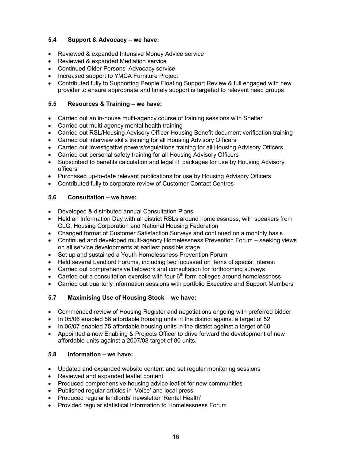# 5.4 Support & Advocacy – we have:

- Reviewed & expanded Intensive Money Advice service
- Reviewed & expanded Mediation service
- Continued Older Persons' Advocacy service
- Increased support to YMCA Furniture Project
- Contributed fully to Supporting People Floating Support Review & full engaged with new provider to ensure appropriate and timely support is targeted to relevant need groups

# 5.5 Resources & Training – we have:

- Carried out an in-house multi-agency course of training sessions with Shelter
- Carried out multi-agency mental health training
- Carried out RSL/Housing Advisory Officer Housing Benefit document verification training
- Carried out interview skills training for all Housing Advisory Officers
- Carried out investigative powers/regulations training for all Housing Advisory Officers
- Carried out personal safety training for all Housing Advisory Officers
- Subscribed to benefits calculation and legal IT packages for use by Housing Advisory officers
- Purchased up-to-date relevant publications for use by Housing Advisory Officers
- Contributed fully to corporate review of Customer Contact Centres

# 5.6 Consultation – we have:

- Developed & distributed annual Consultation Plans
- Held an Information Day with all district RSLs around homelessness, with speakers from CLG, Housing Corporation and National Housing Federation
- Changed format of Customer Satisfaction Surveys and continued on a monthly basis
- Continued and developed multi-agency Homelessness Prevention Forum seeking views on all service developments at earliest possible stage
- Set up and sustained a Youth Homelessness Prevention Forum
- Held several Landlord Forums, including two focussed on items of special interest
- Carried out comprehensive fieldwork and consultation for forthcoming surveys
- Carried out a consultation exercise with four  $6<sup>th</sup>$  form colleges around homelessness
- Carried out quarterly information sessions with portfolio Executive and Support Members

# 5.7 Maximising Use of Housing Stock – we have:

- Commenced review of Housing Register and negotiations ongoing with preferred bidder
- In 05/06 enabled 56 affordable housing units in the district against a target of 52
- In 06/07 enabled 75 affordable housing units in the district against a target of 60
- Appointed a new Enabling & Projects Officer to drive forward the development of new affordable units against a 2007/08 target of 80 units.

#### 5.8 Information – we have:

- Updated and expanded website content and set regular monitoring sessions
- Reviewed and expanded leaflet content
- Produced comprehensive housing advice leaflet for new communities
- Published regular articles in 'Voice' and local press
- Produced regular landlords' newsletter 'Rental Health'
- Provided regular statistical information to Homelessness Forum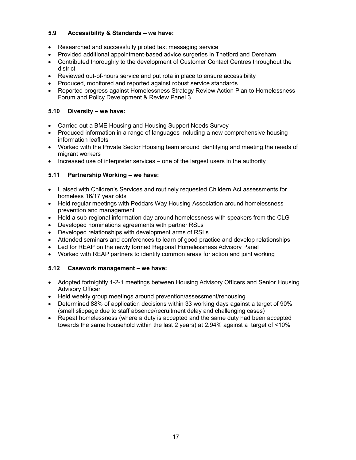# 5.9 Accessibility & Standards – we have:

- Researched and successfully piloted text messaging service
- Provided additional appointment-based advice surgeries in Thetford and Dereham
- Contributed thoroughly to the development of Customer Contact Centres throughout the district
- Reviewed out-of-hours service and put rota in place to ensure accessibility
- Produced, monitored and reported against robust service standards
- Reported progress against Homelessness Strategy Review Action Plan to Homelessness Forum and Policy Development & Review Panel 3

# 5.10 Diversity – we have:

- Carried out a BME Housing and Housing Support Needs Survey
- Produced information in a range of languages including a new comprehensive housing information leaflets
- Worked with the Private Sector Housing team around identifying and meeting the needs of migrant workers
- Increased use of interpreter services one of the largest users in the authority

# 5.11 Partnership Working – we have:

- Liaised with Children's Services and routinely requested Childern Act assessments for homeless 16/17 year olds
- Held regular meetings with Peddars Way Housing Association around homelessness prevention and management
- Held a sub-regional information day around homelessness with speakers from the CLG
- Developed nominations agreements with partner RSLs
- Developed relationships with development arms of RSLs
- Attended seminars and conferences to learn of good practice and develop relationships
- Led for REAP on the newly formed Regional Homelessness Advisory Panel
- Worked with REAP partners to identify common areas for action and joint working

# 5.12 Casework management – we have:

- Adopted fortnightly 1-2-1 meetings between Housing Advisory Officers and Senior Housing Advisory Officer
- Held weekly group meetings around prevention/assessment/rehousing
- Determined 88% of application decisions within 33 working days against a target of 90% (small slippage due to staff absence/recruitment delay and challenging cases)
- Repeat homelessness (where a duty is accepted and the same duty had been accepted towards the same household within the last 2 years) at 2.94% against a target of <10%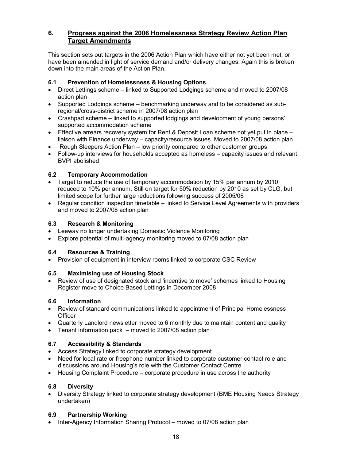# 6. Progress against the 2006 Homelessness Strategy Review Action Plan Target Amendments

This section sets out targets in the 2006 Action Plan which have either not yet been met, or have been amended in light of service demand and/or delivery changes. Again this is broken down into the main areas of the Action Plan.

# 6.1 Prevention of Homelessness & Housing Options

- Direct Lettings scheme linked to Supported Lodgings scheme and moved to 2007/08 action plan
- Supported Lodgings scheme benchmarking underway and to be considered as subregional/cross-district scheme in 2007/08 action plan
- Crashpad scheme linked to supported lodgings and development of young persons' supported accommodation scheme
- Effective arrears recovery system for Rent & Deposit Loan scheme not yet put in place liaison with Finance underway – capacity/resource issues. Moved to 2007/08 action plan
- Rough Sleepers Action Plan low priority compared to other customer groups
- Follow-up interviews for households accepted as homeless capacity issues and relevant BVPI abolished

# 6.2 Temporary Accommodation

- Target to reduce the use of temporary accommodation by 15% per annum by 2010 reduced to 10% per annum. Still on target for 50% reduction by 2010 as set by CLG, but limited scope for further large reductions following success of 2005/06
- Regular condition inspection timetable linked to Service Level Agreements with providers and moved to 2007/08 action plan

# 6.3 Research & Monitoring

- Leeway no longer undertaking Domestic Violence Monitoring
- Explore potential of multi-agency monitoring moved to 07/08 action plan

# 6.4 Resources & Training

• Provision of equipment in interview rooms linked to corporate CSC Review

# 6.5 Maximising use of Housing Stock

• Review of use of designated stock and 'incentive to move' schemes linked to Housing Register move to Choice Based Lettings in December 2008

# 6.6 Information

- Review of standard communications linked to appointment of Principal Homelessness **Officer**
- Quarterly Landlord newsletter moved to 6 monthly due to maintain content and quality
- Tenant information pack moved to 2007/08 action plan

# 6.7 Accessibility & Standards

- Access Strategy linked to corporate strategy development
- Need for local rate or freephone number linked to corporate customer contact role and discussions around Housing's role with the Customer Contact Centre
- Housing Complaint Procedure corporate procedure in use across the authority

# 6.8 Diversity

• Diversity Strategy linked to corporate strategy development (BME Housing Needs Strategy undertaken)

# 6.9 Partnership Working

• Inter-Agency Information Sharing Protocol – moved to 07/08 action plan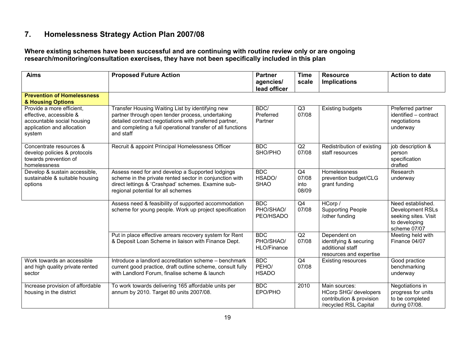# 7. Homelessness Strategy Action Plan 2007/08

Where existing schemes have been successful and are continuing with routine review only or are ongoingresearch/monitoring/consultation exercises, they have not been specifically included in this plan

| <b>Aims</b>                                                                                                                | <b>Proposed Future Action</b>                                                                                                                                                                                                              | <b>Partner</b><br>agencies/<br>lead officer | <b>Time</b><br>scale         | <b>Resource</b><br><b>Implications</b>                                                             | <b>Action to date</b>                                                                                 |
|----------------------------------------------------------------------------------------------------------------------------|--------------------------------------------------------------------------------------------------------------------------------------------------------------------------------------------------------------------------------------------|---------------------------------------------|------------------------------|----------------------------------------------------------------------------------------------------|-------------------------------------------------------------------------------------------------------|
| <b>Prevention of Homelessness</b><br>& Housing Options                                                                     |                                                                                                                                                                                                                                            |                                             |                              |                                                                                                    |                                                                                                       |
| Provide a more efficient,<br>effective, accessible &<br>accountable social housing<br>application and allocation<br>system | Transfer Housing Waiting List by identifying new<br>partner through open tender process, undertaking<br>detailed contract negotiations with preferred partner,<br>and completing a full operational transfer of all functions<br>and staff | BDC/<br>Preferred<br>Partner                | Q3<br>07/08                  | <b>Existing budgets</b>                                                                            | Preferred partner<br>identified - contract<br>negotiations<br>underway                                |
| Concentrate resources &<br>develop policies & protocols<br>towards prevention of<br>homelessness                           | Recruit & appoint Principal Homelessness Officer                                                                                                                                                                                           | <b>BDC</b><br>SHO/PHO                       | Q2<br>07/08                  | Redistribution of existing<br>staff resources                                                      | job description &<br>person<br>specification<br>drafted                                               |
| Develop & sustain accessible,<br>sustainable & suitable housing<br>options                                                 | Assess need for and develop a Supported lodgings<br>scheme in the private rented sector in conjunction with<br>direct lettings & 'Crashpad' schemes. Examine sub-<br>regional potential for all schemes                                    | <b>BDC</b><br>HSADO/<br><b>SHAO</b>         | Q4<br>07/08<br>into<br>08/09 | Homelessness<br>prevention budget/CLG<br>grant funding                                             | Research<br>underway                                                                                  |
|                                                                                                                            | Assess need & feasibility of supported accommodation<br>scheme for young people. Work up project specification                                                                                                                             | <b>BDC</b><br>PHO/SHAO/<br>PEO/HSADO        | Q4<br>07/08                  | HCorp /<br><b>Supporting People</b><br>/other funding                                              | Need established.<br><b>Development RSLs</b><br>seeking sites. Visit<br>to developing<br>scheme 07/07 |
|                                                                                                                            | Put in place effective arrears recovery system for Rent<br>& Deposit Loan Scheme in liaison with Finance Dept.                                                                                                                             | <b>BDC</b><br>PHO/SHAO/<br>HLO/Finance      | Q2<br>07/08                  | Dependent on<br>identifying & securing<br>additional staff<br>resources and expertise              | Meeting held with<br>Finance 04/07                                                                    |
| Work towards an accessible<br>and high quality private rented<br>sector                                                    | Introduce a landlord accreditation scheme - benchmark<br>current good practice, draft outline scheme, consult fully<br>with Landlord Forum, finalise scheme & launch                                                                       | <b>BDC</b><br>PEHO/<br><b>HSADO</b>         | Q4<br>07/08                  | <b>Existing resources</b>                                                                          | Good practice<br>benchmarking<br>underway                                                             |
| Increase provision of affordable<br>housing in the district                                                                | To work towards delivering 165 affordable units per<br>annum by 2010. Target 80 units 2007/08.                                                                                                                                             | <b>BDC</b><br>EPO/PHO                       | 2010                         | Main sources:<br><b>HCorp SHG/ developers</b><br>contribution & provision<br>/recycled RSL Capital | Negotiations in<br>progress for units<br>to be completed<br>during 07/08.                             |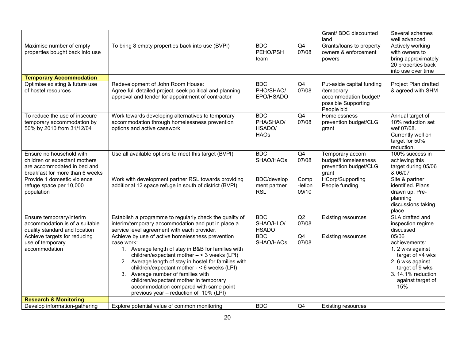|                                                                                                                             |                                                                                                                                                                                                                                                                                                                                                                                                                                                   |                                                  |                          | Grant/ BDC discounted                                                                                 | Several schemes                                                                                                                                         |
|-----------------------------------------------------------------------------------------------------------------------------|---------------------------------------------------------------------------------------------------------------------------------------------------------------------------------------------------------------------------------------------------------------------------------------------------------------------------------------------------------------------------------------------------------------------------------------------------|--------------------------------------------------|--------------------------|-------------------------------------------------------------------------------------------------------|---------------------------------------------------------------------------------------------------------------------------------------------------------|
|                                                                                                                             |                                                                                                                                                                                                                                                                                                                                                                                                                                                   |                                                  |                          | land                                                                                                  | well advanced                                                                                                                                           |
| Maximise number of empty<br>properties bought back into use                                                                 | To bring 8 empty properties back into use (BVPI)                                                                                                                                                                                                                                                                                                                                                                                                  | <b>BDC</b><br>PEHO/PSH<br>team                   | Q4<br>07/08              | Grants/loans to property<br>owners & enforcement<br>powers                                            | Actively working<br>with owners to<br>bring approximately<br>20 properties back<br>into use over time                                                   |
| <b>Temporary Accommodation</b>                                                                                              |                                                                                                                                                                                                                                                                                                                                                                                                                                                   |                                                  |                          |                                                                                                       |                                                                                                                                                         |
| Optimise existing & future use<br>of hostel resources                                                                       | Redevelopment of John Room House:<br>Agree full detailed project, seek political and planning<br>approval and tender for appointment of contractor                                                                                                                                                                                                                                                                                                | <b>BDC</b><br>PHO/SHAO/<br>EPO/HSADO             | Q4<br>07/08              | Put-aside capital funding<br>/temporary<br>accommodation budget/<br>possible Supporting<br>People bid | Project Plan drafted<br>& agreed with SHM                                                                                                               |
| To reduce the use of insecure<br>temporary accommodation by<br>50% by 2010 from 31/12/04                                    | Work towards developing alternatives to temporary<br>accommodation through homelessness prevention<br>options and active casework                                                                                                                                                                                                                                                                                                                 | <b>BDC</b><br>PHA/SHAO/<br>HSADO/<br><b>HAOs</b> | Q4<br>07/08              | Homelessness<br>prevention budget/CLG<br>grant                                                        | Annual target of<br>10% reduction set<br>wef 07/08.<br>Currently well on<br>target for 50%<br>reduction.                                                |
| Ensure no household with<br>children or expectant mothers<br>are accommodated in bed and<br>breakfast for more than 6 weeks | Use all available options to meet this target (BVPI)                                                                                                                                                                                                                                                                                                                                                                                              | <b>BDC</b><br>SHAO/HAOs                          | Q4<br>07/08              | Temporary accom<br>budget/Homelessness<br>prevention budget/CLG<br>grant                              | 100% success in<br>achieving this<br>target during 05/06<br>& 06/07                                                                                     |
| Provide 1 domestic violence<br>refuge space per 10,000<br>population                                                        | Work with development partner RSL towards providing<br>additional 12 space refuge in south of district (BVPI)                                                                                                                                                                                                                                                                                                                                     | <b>BDC/develop</b><br>ment partner<br><b>RSL</b> | Comp<br>-letion<br>09/10 | <b>HCorp/Supporting</b><br>People funding                                                             | Site & partner<br>identified. Plans<br>drawn up. Pre-<br>planning<br>discussions taking<br>place                                                        |
| Ensure temporary/interim<br>accommodation is of a suitable<br>quality standard and location                                 | Establish a programme to regularly check the quality of<br>interim/temporary accommodation and put in place a<br>service level agreement with each provider.                                                                                                                                                                                                                                                                                      | <b>BDC</b><br>SHAO/HLO/<br><b>HSADO</b>          | Q2<br>07/08              | <b>Existing resources</b>                                                                             | SLA drafted and<br>inspection regime<br>discussed                                                                                                       |
| Achieve targets for reducing<br>use of temporary<br>accommodation                                                           | Achieve by use of active homelessness prevention<br>case work:<br>1. Average length of stay in B&B for families with<br>children/expectant mother $- < 3$ weeks (LPI)<br>2. Average length of stay in hostel for families with<br>children/expectant mother - < 6 weeks (LPI)<br>3. Average number of families with<br>children/expectant mother in temporary<br>accommodation compared with same point<br>previous year - reduction of 10% (LPI) | <b>BDC</b><br>SHAO/HAOs                          | Q4<br>07/08              | <b>Existing resources</b>                                                                             | 05/06<br>achievements:<br>1. 2 wks against<br>target of <4 wks<br>2. 6 wks against<br>target of 9 wks<br>3. 14.1% reduction<br>against target of<br>15% |
| <b>Research &amp; Monitoring</b>                                                                                            |                                                                                                                                                                                                                                                                                                                                                                                                                                                   |                                                  |                          |                                                                                                       |                                                                                                                                                         |
| Develop information-gathering                                                                                               | Explore potential value of common monitoring                                                                                                                                                                                                                                                                                                                                                                                                      | <b>BDC</b>                                       | Q <sub>4</sub>           | <b>Existing resources</b>                                                                             |                                                                                                                                                         |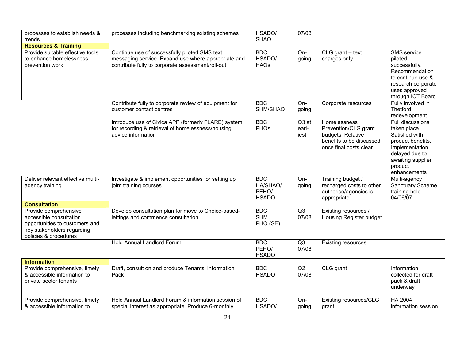| processes to establish needs &<br>trends                                                                                                  | processes including benchmarking existing schemes                                                                                                         | HSADO/<br><b>SHAO</b>                           | 07/08                    |                                                                                                                 |                                                                                                                                                                    |
|-------------------------------------------------------------------------------------------------------------------------------------------|-----------------------------------------------------------------------------------------------------------------------------------------------------------|-------------------------------------------------|--------------------------|-----------------------------------------------------------------------------------------------------------------|--------------------------------------------------------------------------------------------------------------------------------------------------------------------|
| <b>Resources &amp; Training</b>                                                                                                           |                                                                                                                                                           |                                                 |                          |                                                                                                                 |                                                                                                                                                                    |
| Provide suitable effective tools<br>to enhance homelessness<br>prevention work                                                            | Continue use of successfully piloted SMS text<br>messaging service. Expand use where appropriate and<br>contribute fully to corporate assessment/roll-out | <b>BDC</b><br>HSADO/<br><b>HAOs</b>             | On-<br>going             | $CLG$ grant $-$ text<br>charges only                                                                            | <b>SMS</b> service<br>piloted<br>successfully.<br>Recommendation<br>to continue use &<br>research corporate<br>uses approved<br>through ICT Board                  |
|                                                                                                                                           | Contribute fully to corporate review of equipment for<br>customer contact centres                                                                         | <b>BDC</b><br>SHM/SHAO                          | On-<br>going             | Corporate resources                                                                                             | Fully involved in<br>Thetford<br>redevelopment                                                                                                                     |
|                                                                                                                                           | Introduce use of Civica APP (formerly FLARE) system<br>for recording & retrieval of homelessness/housing<br>advice information                            | <b>BDC</b><br>PHOs                              | $Q3$ at<br>earl-<br>iest | Homelessness<br>Prevention/CLG grant<br>budgets. Relative<br>benefits to be discussed<br>once final costs clear | <b>Full discussions</b><br>taken place.<br>Satisfied with<br>product benefits.<br>Implementation<br>delayed due to<br>awaiting supplier<br>product<br>enhancements |
| Deliver relevant effective multi-<br>agency training                                                                                      | Investigate & implement opportunities for setting up<br>joint training courses                                                                            | <b>BDC</b><br>HA/SHAO/<br>PEHO/<br><b>HSADO</b> | On-<br>going             | Training budget /<br>recharged costs to other<br>authorise/agencies is<br>appropriate                           | Multi-agency<br>Sanctuary Scheme<br>training held<br>04/06/07                                                                                                      |
| <b>Consultation</b>                                                                                                                       |                                                                                                                                                           |                                                 |                          |                                                                                                                 |                                                                                                                                                                    |
| Provide comprehensive<br>accessible consultation<br>opportunities to customers and<br>key stakeholders regarding<br>policies & procedures | Develop consultation plan for move to Choice-based-<br>lettings and commence consultation                                                                 | <b>BDC</b><br><b>SHM</b><br>PHO (SE)            | Q3<br>07/08              | Existing resources /<br>Housing Register budget                                                                 |                                                                                                                                                                    |
|                                                                                                                                           | Hold Annual Landlord Forum                                                                                                                                | <b>BDC</b><br>PEHO/<br><b>HSADO</b>             | Q3<br>07/08              | <b>Existing resources</b>                                                                                       |                                                                                                                                                                    |
| <b>Information</b>                                                                                                                        |                                                                                                                                                           |                                                 |                          |                                                                                                                 |                                                                                                                                                                    |
| Provide comprehensive, timely<br>& accessible information to<br>private sector tenants                                                    | Draft, consult on and produce Tenants' Information<br>Pack                                                                                                | <b>BDC</b><br><b>HSADO</b>                      | Q2<br>07/08              | CLG grant                                                                                                       | Information<br>collected for draft<br>pack & draft<br>underway                                                                                                     |
| Provide comprehensive, timely<br>& accessible information to                                                                              | Hold Annual Landlord Forum & information session of<br>special interest as appropriate. Produce 6-monthly                                                 | <b>BDC</b><br>HSADO/                            | On-<br>going             | Existing resources/CLG<br>grant                                                                                 | <b>HA 2004</b><br>information session                                                                                                                              |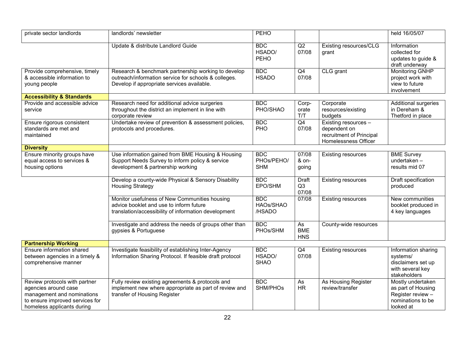| private sector landlords                                                                                                                             | landlords' newsletter                                                                                                                                     | PEHO                                   |                                |                                                                                          | held 16/05/07                                                                                  |
|------------------------------------------------------------------------------------------------------------------------------------------------------|-----------------------------------------------------------------------------------------------------------------------------------------------------------|----------------------------------------|--------------------------------|------------------------------------------------------------------------------------------|------------------------------------------------------------------------------------------------|
|                                                                                                                                                      | Update & distribute Landlord Guide                                                                                                                        | <b>BDC</b><br>HSADO/<br>PEHO           | Q2<br>07/08                    | Existing resources/CLG<br>grant                                                          | Information<br>collected for<br>updates to guide &<br>draft underway                           |
| Provide comprehensive, timely<br>& accessible information to<br>young people                                                                         | Research & benchmark partnership working to develop<br>outreach/information service for schools & colleges.<br>Develop if appropriate services available. | <b>BDC</b><br><b>HSADO</b>             | Q4<br>07/08                    | CLG grant                                                                                | <b>Monitoring GNHP</b><br>project work with<br>view to future<br>involvement                   |
| <b>Accessibility &amp; Standards</b>                                                                                                                 |                                                                                                                                                           |                                        |                                |                                                                                          |                                                                                                |
| Provide and accessible advice<br>service                                                                                                             | Research need for additional advice surgeries<br>throughout the district an implement in line with<br>corporate review                                    | <b>BDC</b><br>PHO/SHAO                 | Corp-<br>orate<br>T/T          | Corporate<br>resources/existing<br>budgets                                               | Additional surgeries<br>in Dereham &<br>Thetford in place                                      |
| Ensure rigorous consistent<br>standards are met and<br>maintained                                                                                    | Undertake review of prevention & assessment policies,<br>protocols and procedures.                                                                        | <b>BDC</b><br>PHO                      | $\overline{Q4}$<br>07/08       | Existing resources -<br>dependent on<br>recruitment of Principal<br>Homelessness Officer |                                                                                                |
| <b>Diversity</b>                                                                                                                                     |                                                                                                                                                           |                                        |                                |                                                                                          |                                                                                                |
| Ensure minority groups have<br>equal access to services &<br>housing options                                                                         | Use information gained from BME Housing & Housing<br>Support Needs Survey to inform policy & service<br>development & partnership working                 | <b>BDC</b><br>PHOs/PEHO/<br><b>SHM</b> | 07/08<br>& on-<br>going        | <b>Existing resources</b>                                                                | <b>BME Survey</b><br>undertaken-<br>results mid 07                                             |
|                                                                                                                                                      | Develop a county-wide Physical & Sensory Disability<br><b>Housing Strategy</b>                                                                            | <b>BDC</b><br>EPO/SHM                  | <b>Draft</b><br>Q3<br>07/08    | <b>Existing resources</b>                                                                | Draft specification<br>produced                                                                |
|                                                                                                                                                      | Monitor usefulness of New Communities housing<br>advice booklet and use to inform future<br>translation/accessibility of information development          | <b>BDC</b><br>HAOs/SHAO<br>/HSADO      | 07/08                          | <b>Existing resources</b>                                                                | New communities<br>booklet produced in<br>4 key languages                                      |
|                                                                                                                                                      | Investigate and address the needs of groups other than<br>gypsies & Portuguese                                                                            | <b>BDC</b><br>PHOs/SHM                 | As<br><b>BME</b><br><b>HNS</b> | County-wide resources                                                                    |                                                                                                |
| <b>Partnership Working</b>                                                                                                                           |                                                                                                                                                           |                                        |                                |                                                                                          |                                                                                                |
| Ensure information shared<br>between agencies in a timely &<br>comprehensive manner                                                                  | Investigate feasibility of establishing Inter-Agency<br>Information Sharing Protocol. If feasible draft protocol                                          | <b>BDC</b><br>HSADO/<br><b>SHAO</b>    | Q4<br>07/08                    | <b>Existing resources</b>                                                                | Information sharing<br>systems/<br>disclaimers set up<br>with several key<br>stakeholders      |
| Review protocols with partner<br>agencies around case<br>management and nominations<br>to ensure improved services for<br>homeless applicants during | Fully review existing agreements & protocols and<br>implement new where appropriate as part of review and<br>transfer of Housing Register                 | <b>BDC</b><br>SHM/PHOs                 | As<br><b>HR</b>                | As Housing Register<br>review/transfer                                                   | Mostly undertaken<br>as part of Housing<br>Register review -<br>nominations to be<br>looked at |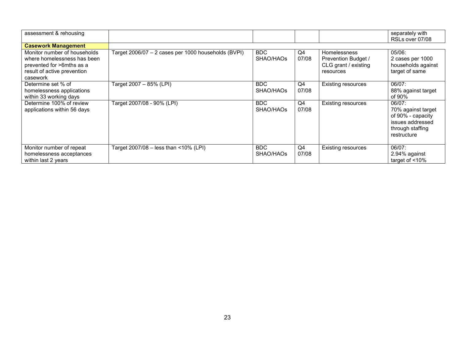| assessment & rehousing                                                                                                              |                                                     |                         |             |                                                                                 | separately with<br>RSLs over 07/08                                                                       |
|-------------------------------------------------------------------------------------------------------------------------------------|-----------------------------------------------------|-------------------------|-------------|---------------------------------------------------------------------------------|----------------------------------------------------------------------------------------------------------|
| <b>Casework Management</b>                                                                                                          |                                                     |                         |             |                                                                                 |                                                                                                          |
| Monitor number of households<br>where homelessness has been<br>prevented for >6mths as a<br>result of active prevention<br>casework | Target 2006/07 - 2 cases per 1000 households (BVPI) | <b>BDC</b><br>SHAO/HAOs | Q4<br>07/08 | <b>Homelessness</b><br>Prevention Budget /<br>CLG grant / existing<br>resources | $05/06$ :<br>2 cases per 1000<br>households against<br>target of same                                    |
| Determine set % of<br>homelessness applications<br>within 33 working days                                                           | Target 2007 - 85% (LPI)                             | BDC.<br>SHAO/HAOs       | Q4<br>07/08 | <b>Existing resources</b>                                                       | $06/07$ :<br>88% against target<br>of 90%                                                                |
| Determine 100% of review<br>applications within 56 days                                                                             | Target 2007/08 - 90% (LPI)                          | <b>BDC</b><br>SHAO/HAOs | Q4<br>07/08 | <b>Existing resources</b>                                                       | 06/07:<br>70% against target<br>of 90% - capacity<br>issues addressed<br>through staffing<br>restructure |
| Monitor number of repeat<br>homelessness acceptances<br>within last 2 years                                                         | Target 2007/08 – less than <10% (LPI)               | <b>BDC</b><br>SHAO/HAOs | Q4<br>07/08 | <b>Existing resources</b>                                                       | 06/07:<br>2.94% against<br>target of $<$ 10%                                                             |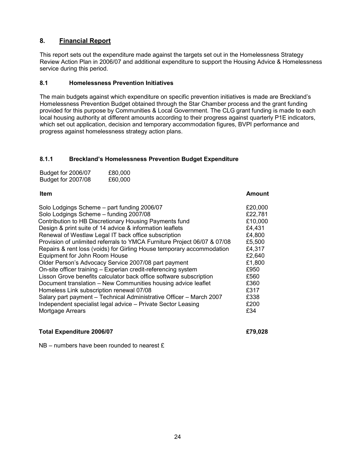# 8. Financial Report

This report sets out the expenditure made against the targets set out in the Homelessness Strategy Review Action Plan in 2006/07 and additional expenditure to support the Housing Advice & Homelessness service during this period.

#### 8.1 Homelessness Prevention Initiatives

The main budgets against which expenditure on specific prevention initiatives is made are Breckland's Homelessness Prevention Budget obtained through the Star Chamber process and the grant funding provided for this purpose by Communities & Local Government. The CLG grant funding is made to each local housing authority at different amounts according to their progress against quarterly P1E indicators, which set out application, decision and temporary accommodation figures, BVPI performance and progress against homelessness strategy action plans.

#### 8.1.1 Breckland's Homelessness Prevention Budget Expenditure

| Budget for 2006/07 | £80,000 |
|--------------------|---------|
| Budget for 2007/08 | £60,000 |

| Solo Lodgings Scheme - part funding 2006/07                              | £20,000 |
|--------------------------------------------------------------------------|---------|
| Solo Lodgings Scheme - funding 2007/08                                   | £22,781 |
| Contribution to HB Discretionary Housing Payments fund                   | £10,000 |
| Design & print suite of 14 advice & information leaflets                 | £4,431  |
| Renewal of Westlaw Legal IT back office subscription                     | £4,800  |
| Provision of unlimited referrals to YMCA Furniture Project 06/07 & 07/08 | £5,500  |
| Repairs & rent loss (voids) for Girling House temporary accommodation    | £4,317  |
| Equipment for John Room House                                            | £2,640  |
| Older Person's Advocacy Service 2007/08 part payment                     | £1,800  |
| On-site officer training - Experian credit-referencing system            | £950    |
| Lisson Grove benefits calculator back office software subscription       | £560    |
| Document translation - New Communities housing advice leaflet            | £360    |
| Homeless Link subscription renewal 07/08                                 | £317    |
| Salary part payment - Technical Administrative Officer - March 2007      | £338    |
| Independent specialist legal advice - Private Sector Leasing             | £200    |
| Mortgage Arrears                                                         | £34     |
|                                                                          |         |

Item Amount

#### Total Expenditure 2006/07 **EXPENDITION** EXPS.028

NB – numbers have been rounded to nearest £